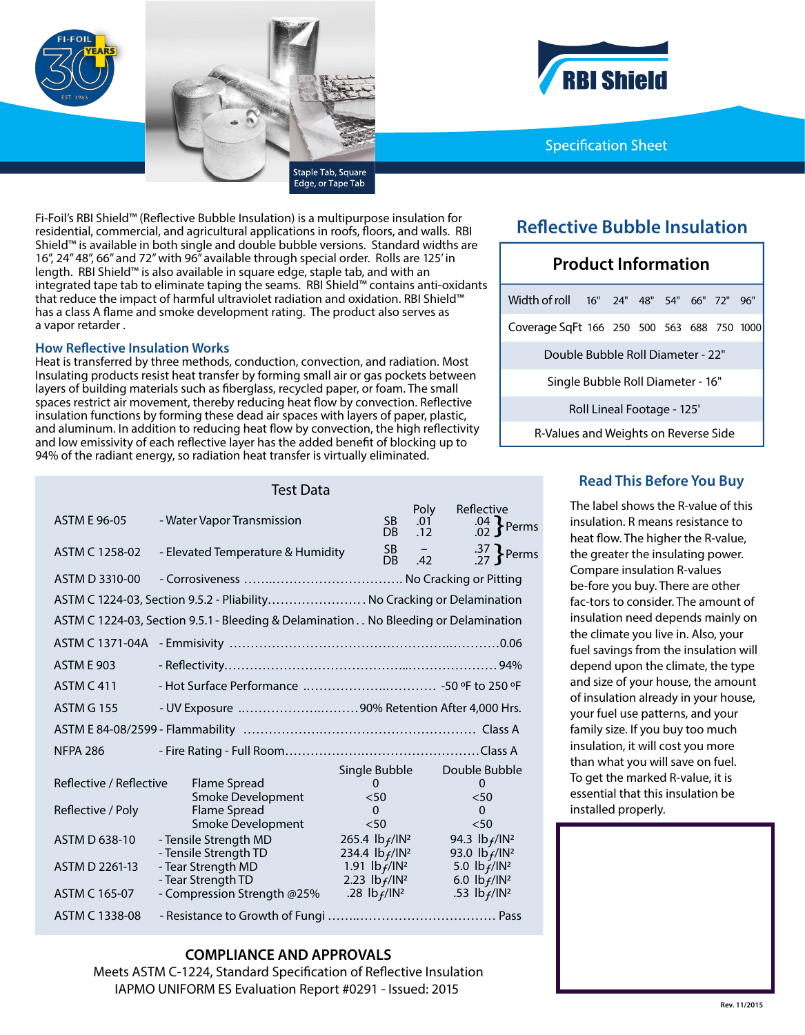

**BI Shield** 

### **Specification Sheet**

Fi-Foil's RBI Shield™ (Refective Bubble Insulation) is a multipurpose insulation for residential, commercial, and agricultural applications in roofs, foors, and walls. RBI Shield™ is available in both single and double bubble versions. Standard widths are 16", 24" 48", 66" and 72" with 96" available through special order. Rolls are 125' in length. RBI Shield™ is also available in square edge, staple tab, and with an integrated tape tab to eliminate taping the seams. RBI Shield™ contains anti-oxidants that reduce the impact of harmful ultraviolet radiation and oxidation. RBI Shield™ has a class A flame and smoke development rating. The product also serves as a vapor retarder .

#### **How Refective Insulation Works**

Heat is transferred by three methods, conduction, convection, and radiation. Most Insulating products resist heat transfer by forming small air or gas pockets between layers of building materials such as fberglass, recycled paper, or foam. The small spaces restrict air movement, thereby reducing heat fow by convection. Refective insulation functions by forming these dead air spaces with layers of paper, plastic, and aluminum. In addition to reducing heat fow by convection, the high refectivity and low emissivity of each refective layer has the added beneft of blocking up to 94% of the radiant energy, so radiation heat transfer is virtually eliminated.

### **Refective Bubble Insulation**

## **Product Information** Width of roll 16" 24" 48" 54" 66" 72" 96" Coverage SqFt 166 250 500 563 688 750 1000 Double Bubble Roll Diameter - 22" Single Bubble Roll Diameter - 16" Roll Lineal Footage - 125' R-Values and Weights on Reverse Side

# Test Data

| <b>ASTM E 96-05</b>                                           | - Water Vapor Transmission                                                                                               | <b>SB</b><br>DB.                                                                                                         | Poly<br>.01<br>.12              | Reflective<br>$.04$ $\left\{\right.}$ Perms                                                            |
|---------------------------------------------------------------|--------------------------------------------------------------------------------------------------------------------------|--------------------------------------------------------------------------------------------------------------------------|---------------------------------|--------------------------------------------------------------------------------------------------------|
| ASTM C 1258-02                                                | - Elevated Temperature & Humidity                                                                                        | SB -<br>DB.                                                                                                              | $\overline{\phantom{0}}$<br>.42 | $\frac{.37}{27}$ Perms                                                                                 |
| ASTM D 3310-00                                                |                                                                                                                          |                                                                                                                          |                                 |                                                                                                        |
|                                                               | ASTM C 1224-03, Section 9.5.2 - Pliability No Cracking or Delamination                                                   |                                                                                                                          |                                 |                                                                                                        |
|                                                               | ASTM C 1224-03, Section 9.5.1 - Bleeding & Delamination No Bleeding or Delamination                                      |                                                                                                                          |                                 |                                                                                                        |
|                                                               |                                                                                                                          |                                                                                                                          |                                 |                                                                                                        |
| <b>ASTM E 903</b>                                             |                                                                                                                          |                                                                                                                          |                                 |                                                                                                        |
| <b>ASTM C 411</b>                                             |                                                                                                                          |                                                                                                                          |                                 |                                                                                                        |
| <b>ASTM G 155</b>                                             | - UV Exposure 90% Retention After 4,000 Hrs.                                                                             |                                                                                                                          |                                 |                                                                                                        |
|                                                               |                                                                                                                          |                                                                                                                          |                                 |                                                                                                        |
| <b>NFPA 286</b>                                               |                                                                                                                          |                                                                                                                          |                                 |                                                                                                        |
| Reflective / Reflective<br>Reflective / Poly<br>ASTM D 638-10 | Flame Spread<br>Smoke Development<br>Flame Spread<br>Smoke Development<br>- Tensile Strength MD<br>- Tensile Strength TD | Single Bubble<br>$\Omega$<br>< 50<br>$\Omega$<br>< 50<br>265.4 $\frac{1}{2}$ $\frac{1}{2}$<br>234.4 $\frac{ b_f }{ N^2}$ |                                 | Double Bubble<br>0<br>$50$<br>$\Omega$<br>< 50<br>94.3 $\frac{1}{2}$ $\frac{1}{2}$<br>93.0 $lb_f/lN^2$ |
| ASTM D 2261-13<br>ASTM C 165-07                               | - Tear Strength MD<br>- Tear Strength TD<br>- Compression Strength @25%                                                  | 1.91 $\frac{1}{2}$ $\frac{1}{2}$<br>2.23 $1b_f/1N^2$<br>.28 $1b_f/1N^2$                                                  |                                 | 5.0 $\frac{1}{f}$ /IN <sup>2</sup><br>6.0 $\frac{1}{f}$ /IN <sup>2</sup><br>.53 $lb_f/lN^2$            |
| ASTM C 1338-08                                                |                                                                                                                          |                                                                                                                          |                                 |                                                                                                        |

#### **COMPLIANCE AND APPROVALS**

Meets ASTM C-1224, Standard Specifcation of Refective Insulation IAPMO UNIFORM ES Evaluation Report #0291 - Issued: 2015

### **Read This Before You Buy**

The label shows the R-value of this insulation. R means resistance to heat fow. The higher the R-value, the greater the insulating power. Compare insulation R-values be-fore you buy. There are other fac-tors to consider. The amount of insulation need depends mainly on the climate you live in. Also, your fuel savings from the insulation will depend upon the climate, the type and size of your house, the amount of insulation already in your house, your fuel use patterns, and your family size. If you buy too much insulation, it will cost you more than what you will save on fuel. To get the marked R-value, it is essential that this insulation be installed properly.